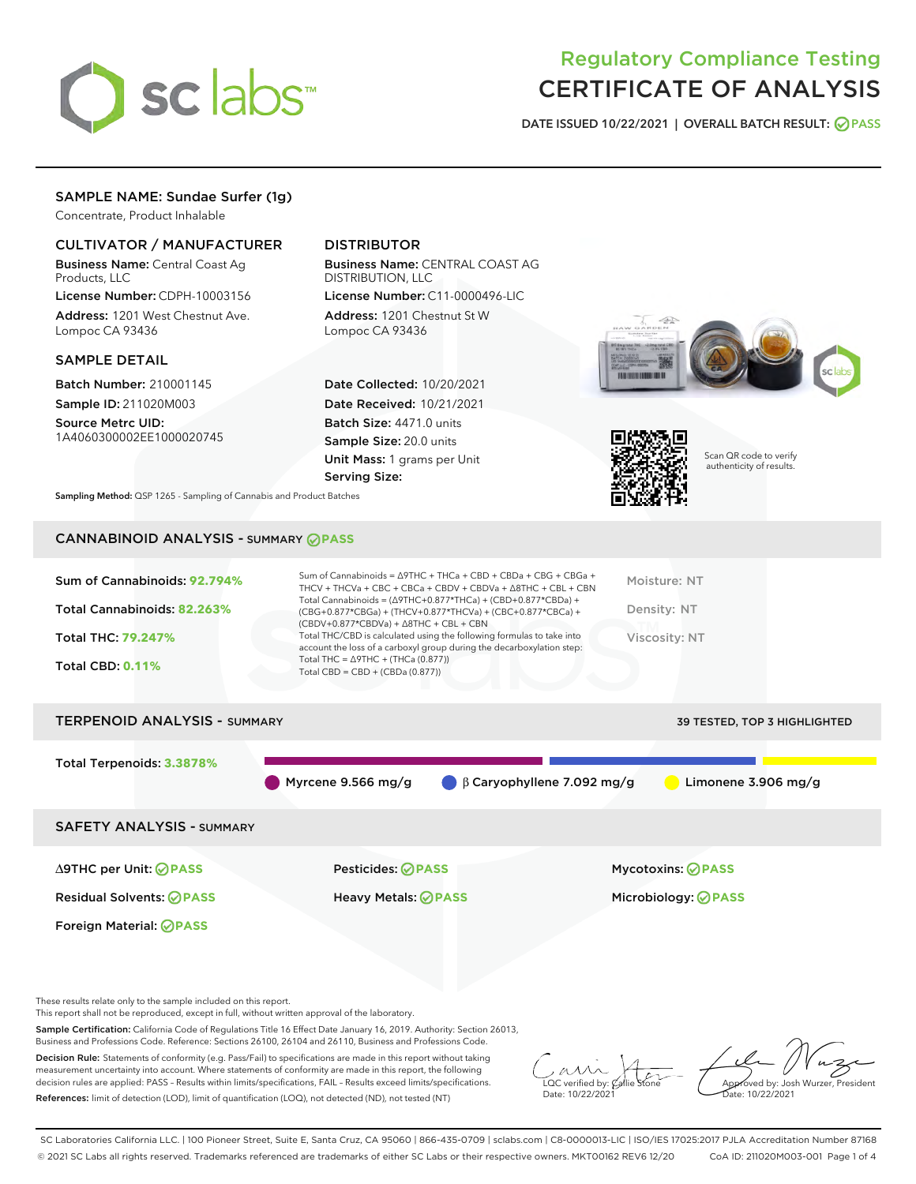

# Regulatory Compliance Testing CERTIFICATE OF ANALYSIS

DATE ISSUED 10/22/2021 | OVERALL BATCH RESULT: @ PASS

# SAMPLE NAME: Sundae Surfer (1g)

Concentrate, Product Inhalable

# CULTIVATOR / MANUFACTURER

Business Name: Central Coast Ag Products, LLC

License Number: CDPH-10003156 Address: 1201 West Chestnut Ave. Lompoc CA 93436

#### SAMPLE DETAIL

Batch Number: 210001145 Sample ID: 211020M003 Source Metrc UID:

1A4060300002EE1000020745

# DISTRIBUTOR

Business Name: CENTRAL COAST AG DISTRIBUTION, LLC License Number: C11-0000496-LIC

Address: 1201 Chestnut St W Lompoc CA 93436

Date Collected: 10/20/2021 Date Received: 10/21/2021 Batch Size: 4471.0 units Sample Size: 20.0 units Unit Mass: 1 grams per Unit Serving Size:





Scan QR code to verify authenticity of results.

Sampling Method: QSP 1265 - Sampling of Cannabis and Product Batches

# CANNABINOID ANALYSIS - SUMMARY **PASS**



These results relate only to the sample included on this report.

This report shall not be reproduced, except in full, without written approval of the laboratory.

Sample Certification: California Code of Regulations Title 16 Effect Date January 16, 2019. Authority: Section 26013, Business and Professions Code. Reference: Sections 26100, 26104 and 26110, Business and Professions Code.

Decision Rule: Statements of conformity (e.g. Pass/Fail) to specifications are made in this report without taking measurement uncertainty into account. Where statements of conformity are made in this report, the following decision rules are applied: PASS – Results within limits/specifications, FAIL – Results exceed limits/specifications. References: limit of detection (LOD), limit of quantification (LOQ), not detected (ND), not tested (NT)

 $\overline{\text{C}}$  verified by:  $\mathcal C$ Date: 10/22/2021

Aved by: Josh Wurzer, President  $\frac{1}{2}$ te: 10/22/2021

SC Laboratories California LLC. | 100 Pioneer Street, Suite E, Santa Cruz, CA 95060 | 866-435-0709 | sclabs.com | C8-0000013-LIC | ISO/IES 17025:2017 PJLA Accreditation Number 87168 © 2021 SC Labs all rights reserved. Trademarks referenced are trademarks of either SC Labs or their respective owners. MKT00162 REV6 12/20 CoA ID: 211020M003-001 Page 1 of 4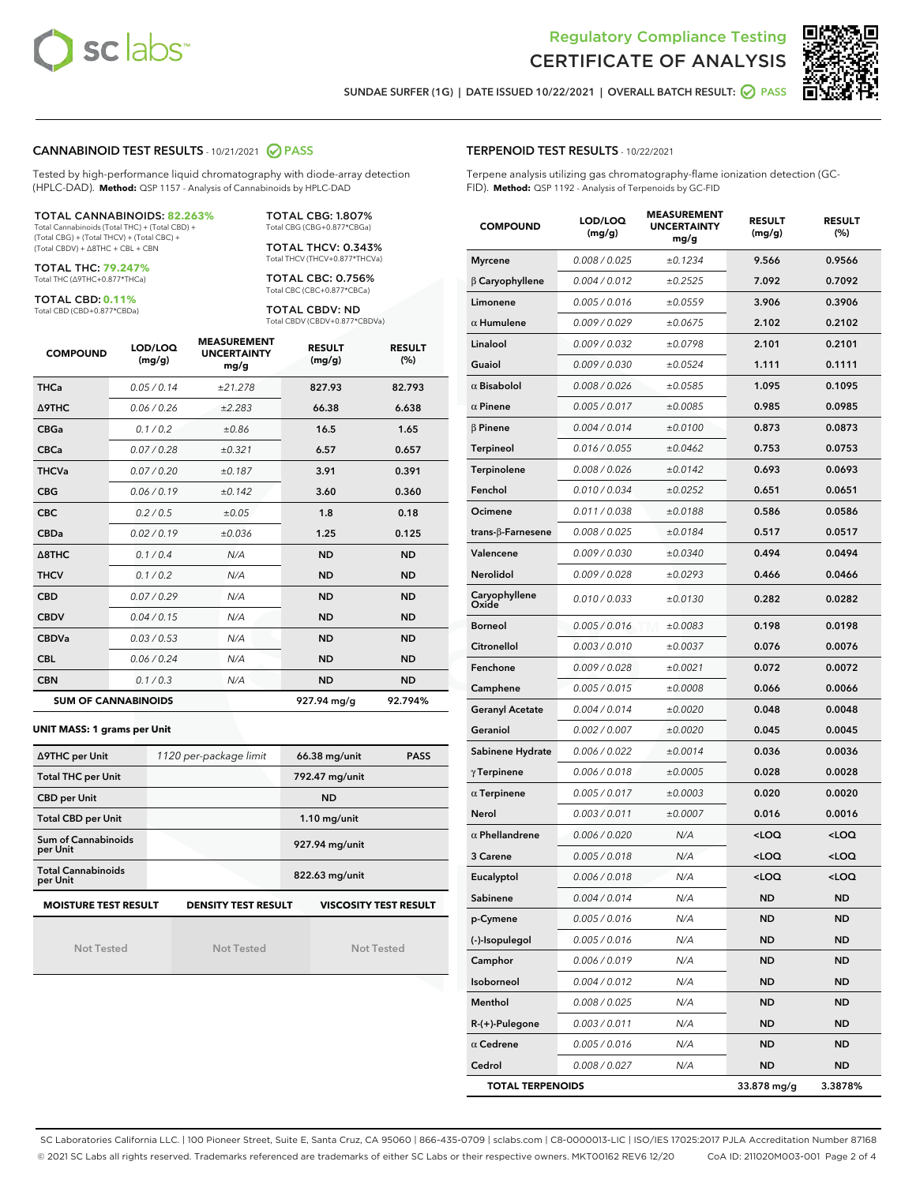



SUNDAE SURFER (1G) | DATE ISSUED 10/22/2021 | OVERALL BATCH RESULT: @ PASS

#### CANNABINOID TEST RESULTS - 10/21/2021 2 PASS

Tested by high-performance liquid chromatography with diode-array detection (HPLC-DAD). **Method:** QSP 1157 - Analysis of Cannabinoids by HPLC-DAD

#### TOTAL CANNABINOIDS: **82.263%**

Total Cannabinoids (Total THC) + (Total CBD) + (Total CBG) + (Total THCV) + (Total CBC) + (Total CBDV) + ∆8THC + CBL + CBN

TOTAL THC: **79.247%** Total THC (∆9THC+0.877\*THCa)

TOTAL CBD: **0.11%**

Total CBD (CBD+0.877\*CBDa)

TOTAL CBG: 1.807% Total CBG (CBG+0.877\*CBGa)

TOTAL THCV: 0.343% Total THCV (THCV+0.877\*THCVa)

TOTAL CBC: 0.756% Total CBC (CBC+0.877\*CBCa)

TOTAL CBDV: ND Total CBDV (CBDV+0.877\*CBDVa)

| <b>COMPOUND</b>  | LOD/LOQ<br>(mg/g)          | <b>MEASUREMENT</b><br><b>UNCERTAINTY</b><br>mg/g | <b>RESULT</b><br>(mg/g) | <b>RESULT</b><br>(%) |
|------------------|----------------------------|--------------------------------------------------|-------------------------|----------------------|
| <b>THCa</b>      | 0.05 / 0.14                | ±21.278                                          | 827.93                  | 82.793               |
| <b>A9THC</b>     | 0.06 / 0.26                | ±2.283                                           | 66.38                   | 6.638                |
| <b>CBGa</b>      | 0.1 / 0.2                  | ±0.86                                            | 16.5                    | 1.65                 |
| <b>CBCa</b>      | 0.07/0.28                  | ±0.321                                           | 6.57                    | 0.657                |
| <b>THCVa</b>     | 0.07/0.20                  | ±0.187                                           | 3.91                    | 0.391                |
| <b>CBG</b>       | 0.06/0.19                  | ±0.142                                           | 3.60                    | 0.360                |
| <b>CBC</b>       | 0.2 / 0.5                  | ±0.05                                            | 1.8                     | 0.18                 |
| <b>CBDa</b>      | 0.02/0.19                  | ±0.036                                           | 1.25                    | 0.125                |
| $\triangle$ 8THC | 0.1/0.4                    | N/A                                              | <b>ND</b>               | <b>ND</b>            |
| <b>THCV</b>      | 0.1 / 0.2                  | N/A                                              | <b>ND</b>               | <b>ND</b>            |
| <b>CBD</b>       | 0.07/0.29                  | N/A                                              | <b>ND</b>               | <b>ND</b>            |
| <b>CBDV</b>      | 0.04 / 0.15                | N/A                                              | <b>ND</b>               | <b>ND</b>            |
| <b>CBDVa</b>     | 0.03 / 0.53                | N/A                                              | <b>ND</b>               | <b>ND</b>            |
| <b>CBL</b>       | 0.06 / 0.24                | N/A                                              | <b>ND</b>               | <b>ND</b>            |
| <b>CBN</b>       | 0.1/0.3                    | N/A                                              | <b>ND</b>               | <b>ND</b>            |
|                  | <b>SUM OF CANNABINOIDS</b> |                                                  | 927.94 mg/g             | 92.794%              |

#### **UNIT MASS: 1 grams per Unit**

| ∆9THC per Unit                                                                            | 1120 per-package limit | 66.38 mg/unit<br><b>PASS</b> |  |  |  |
|-------------------------------------------------------------------------------------------|------------------------|------------------------------|--|--|--|
| <b>Total THC per Unit</b>                                                                 |                        | 792.47 mg/unit               |  |  |  |
| <b>CBD per Unit</b>                                                                       |                        | <b>ND</b>                    |  |  |  |
| <b>Total CBD per Unit</b>                                                                 |                        | $1.10$ mg/unit               |  |  |  |
| Sum of Cannabinoids<br>per Unit                                                           |                        | 927.94 mg/unit               |  |  |  |
| <b>Total Cannabinoids</b><br>per Unit                                                     |                        | 822.63 mg/unit               |  |  |  |
| <b>MOISTURE TEST RESULT</b><br><b>DENSITY TEST RESULT</b><br><b>VISCOSITY TEST RESULT</b> |                        |                              |  |  |  |

Not Tested

Not Tested

Not Tested

#### TERPENOID TEST RESULTS - 10/22/2021

Terpene analysis utilizing gas chromatography-flame ionization detection (GC-FID). **Method:** QSP 1192 - Analysis of Terpenoids by GC-FID

| <b>COMPOUND</b>           | LOD/LOQ<br>(mg/g) | <b>MEASUREMENT</b><br><b>UNCERTAINTY</b><br>mg/g | <b>RESULT</b><br>(mg/g)                         | <b>RESULT</b><br>(%) |
|---------------------------|-------------------|--------------------------------------------------|-------------------------------------------------|----------------------|
| <b>Myrcene</b>            | 0.008 / 0.025     | ±0.1234                                          | 9.566                                           | 0.9566               |
| $\beta$ Caryophyllene     | 0.004 / 0.012     | ±0.2525                                          | 7.092                                           | 0.7092               |
| Limonene                  | 0.005 / 0.016     | ±0.0559                                          | 3.906                                           | 0.3906               |
| $\alpha$ Humulene         | 0.009 / 0.029     | ±0.0675                                          | 2.102                                           | 0.2102               |
| Linalool                  | 0.009 / 0.032     | ±0.0798                                          | 2.101                                           | 0.2101               |
| Guaiol                    | 0.009 / 0.030     | ±0.0524                                          | 1.111                                           | 0.1111               |
| $\alpha$ Bisabolol        | 0.008 / 0.026     | ±0.0585                                          | 1.095                                           | 0.1095               |
| $\alpha$ Pinene           | 0.005 / 0.017     | ±0.0085                                          | 0.985                                           | 0.0985               |
| $\beta$ Pinene            | 0.004 / 0.014     | ±0.0100                                          | 0.873                                           | 0.0873               |
| <b>Terpineol</b>          | 0.016 / 0.055     | ±0.0462                                          | 0.753                                           | 0.0753               |
| Terpinolene               | 0.008 / 0.026     | ±0.0142                                          | 0.693                                           | 0.0693               |
| Fenchol                   | 0.010 / 0.034     | ±0.0252                                          | 0.651                                           | 0.0651               |
| Ocimene                   | 0.011 / 0.038     | ±0.0188                                          | 0.586                                           | 0.0586               |
| trans- $\beta$ -Farnesene | 0.008 / 0.025     | ±0.0184                                          | 0.517                                           | 0.0517               |
| Valencene                 | 0.009 / 0.030     | ±0.0340                                          | 0.494                                           | 0.0494               |
| Nerolidol                 | 0.009 / 0.028     | ±0.0293                                          | 0.466                                           | 0.0466               |
| Caryophyllene<br>Oxide    | 0.010 / 0.033     | ±0.0130                                          | 0.282                                           | 0.0282               |
| <b>Borneol</b>            | 0.005 / 0.016     | ±0.0083                                          | 0.198                                           | 0.0198               |
| Citronellol               | 0.003 / 0.010     | ±0.0037                                          | 0.076                                           | 0.0076               |
| Fenchone                  | 0.009 / 0.028     | ±0.0021                                          | 0.072                                           | 0.0072               |
| Camphene                  | 0.005 / 0.015     | ±0.0008                                          | 0.066                                           | 0.0066               |
| <b>Geranyl Acetate</b>    | 0.004 / 0.014     | ±0.0020                                          | 0.048                                           | 0.0048               |
| Geraniol                  | 0.002 / 0.007     | ±0.0020                                          | 0.045                                           | 0.0045               |
| Sabinene Hydrate          | 0.006 / 0.022     | ±0.0014                                          | 0.036                                           | 0.0036               |
| $\gamma$ Terpinene        | 0.006 / 0.018     | ±0.0005                                          | 0.028                                           | 0.0028               |
| $\alpha$ Terpinene        | 0.005 / 0.017     | ±0.0003                                          | 0.020                                           | 0.0020               |
| Nerol                     | 0.003 / 0.011     | ±0.0007                                          | 0.016                                           | 0.0016               |
| $\alpha$ Phellandrene     | 0.006 / 0.020     | N/A                                              | <loq< th=""><th><loq< th=""></loq<></th></loq<> | <loq< th=""></loq<>  |
| 3 Carene                  | 0.005 / 0.018     | N/A                                              | <loq< th=""><th><loq< th=""></loq<></th></loq<> | <loq< th=""></loq<>  |
| Eucalyptol                | 0.006 / 0.018     | N/A                                              | <loq< th=""><th><loq< th=""></loq<></th></loq<> | <loq< th=""></loq<>  |
| Sabinene                  | 0.004 / 0.014     | N/A                                              | ND                                              | <b>ND</b>            |
| p-Cymene                  | 0.005 / 0.016     | N/A                                              | ND                                              | ND                   |
| (-)-Isopulegol            | 0.005 / 0.016     | N/A                                              | ND                                              | <b>ND</b>            |
| Camphor                   | 0.006 / 0.019     | N/A                                              | <b>ND</b>                                       | <b>ND</b>            |
| Isoborneol                | 0.004 / 0.012     | N/A                                              | ND                                              | ND                   |
| Menthol                   | 0.008 / 0.025     | N/A                                              | ND                                              | ND                   |
| R-(+)-Pulegone            | 0.003 / 0.011     | N/A                                              | <b>ND</b>                                       | <b>ND</b>            |
| $\alpha$ Cedrene          | 0.005 / 0.016     | N/A                                              | ND                                              | ND                   |
| Cedrol                    | 0.008 / 0.027     | N/A                                              | <b>ND</b>                                       | ND                   |
| <b>TOTAL TERPENOIDS</b>   |                   |                                                  | 33.878 mg/g                                     | 3.3878%              |

SC Laboratories California LLC. | 100 Pioneer Street, Suite E, Santa Cruz, CA 95060 | 866-435-0709 | sclabs.com | C8-0000013-LIC | ISO/IES 17025:2017 PJLA Accreditation Number 87168 © 2021 SC Labs all rights reserved. Trademarks referenced are trademarks of either SC Labs or their respective owners. MKT00162 REV6 12/20 CoA ID: 211020M003-001 Page 2 of 4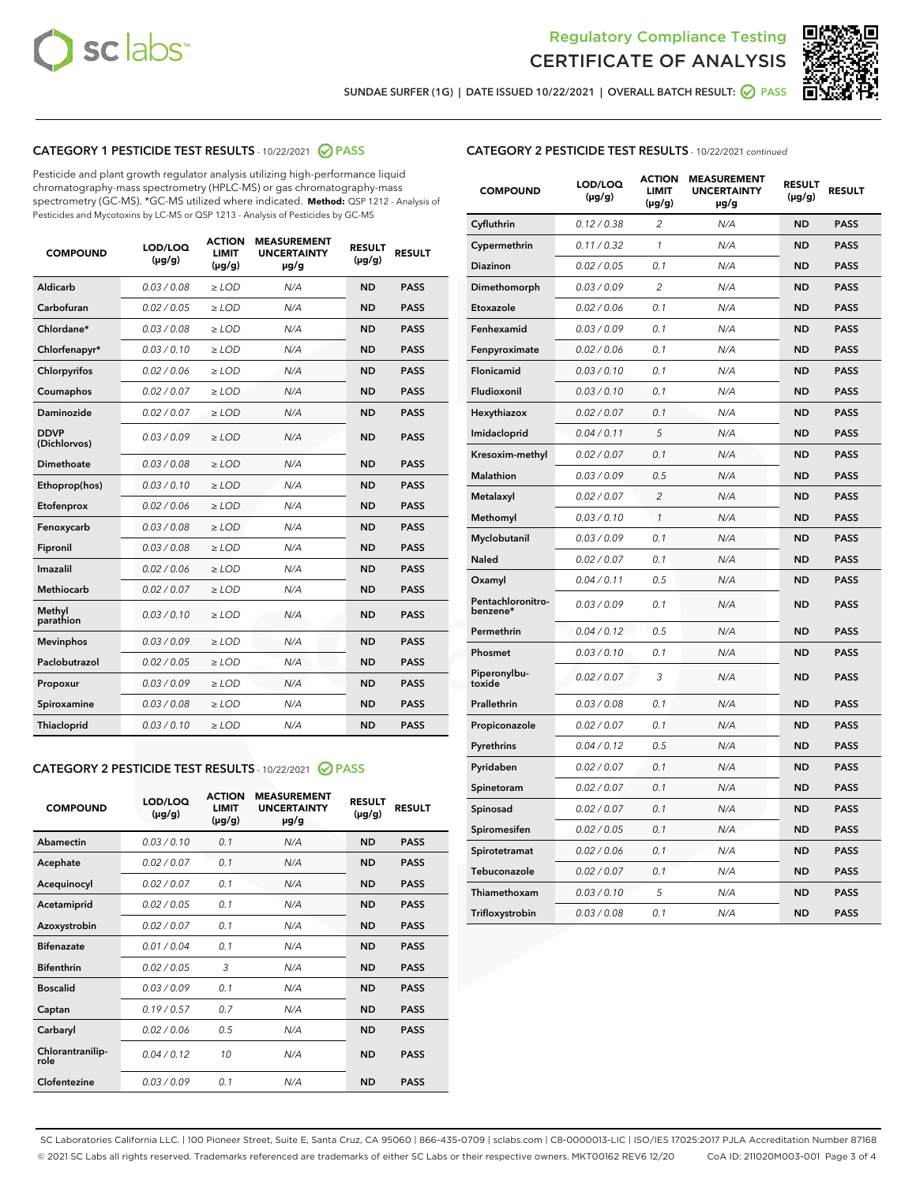



SUNDAE SURFER (1G) | DATE ISSUED 10/22/2021 | OVERALL BATCH RESULT: @ PASS

# CATEGORY 1 PESTICIDE TEST RESULTS - 10/22/2021 2 PASS

Pesticide and plant growth regulator analysis utilizing high-performance liquid chromatography-mass spectrometry (HPLC-MS) or gas chromatography-mass spectrometry (GC-MS). \*GC-MS utilized where indicated. **Method:** QSP 1212 - Analysis of Pesticides and Mycotoxins by LC-MS or QSP 1213 - Analysis of Pesticides by GC-MS

| <b>Aldicarb</b><br>0.03 / 0.08<br><b>ND</b><br>$\ge$ LOD<br>N/A<br><b>PASS</b><br>Carbofuran<br>0.02/0.05<br>$\ge$ LOD<br>N/A<br><b>ND</b><br><b>PASS</b><br>Chlordane*<br>0.03 / 0.08<br><b>ND</b><br>$>$ LOD<br>N/A<br><b>PASS</b><br>0.03/0.10<br><b>ND</b><br><b>PASS</b><br>Chlorfenapyr*<br>$\geq$ LOD<br>N/A<br>0.02 / 0.06<br>N/A<br><b>ND</b><br><b>PASS</b><br>Chlorpyrifos<br>$\geq$ LOD<br>0.02 / 0.07<br>N/A<br><b>ND</b><br><b>PASS</b><br>Coumaphos<br>$>$ LOD<br><b>Daminozide</b><br>0.02 / 0.07<br>$\ge$ LOD<br>N/A<br><b>ND</b><br><b>PASS</b><br><b>DDVP</b><br>0.03/0.09<br>$\ge$ LOD<br>N/A<br><b>ND</b><br><b>PASS</b><br>(Dichlorvos)<br>Dimethoate<br><b>ND</b><br><b>PASS</b><br>0.03 / 0.08<br>$>$ LOD<br>N/A<br>0.03/0.10<br>Ethoprop(hos)<br>$\ge$ LOD<br>N/A<br><b>ND</b><br><b>PASS</b><br>0.02/0.06<br>$\ge$ LOD<br>N/A<br><b>ND</b><br><b>PASS</b><br>Etofenprox<br>Fenoxycarb<br>0.03 / 0.08<br>$>$ LOD<br>N/A<br><b>ND</b><br><b>PASS</b><br>0.03 / 0.08<br><b>ND</b><br><b>PASS</b><br>Fipronil<br>$\ge$ LOD<br>N/A<br>Imazalil<br>0.02 / 0.06<br>$>$ LOD<br>N/A<br><b>ND</b><br><b>PASS</b><br>0.02 / 0.07<br>Methiocarb<br>N/A<br><b>ND</b><br>$>$ LOD<br><b>PASS</b><br>Methyl<br>0.03/0.10<br>$\ge$ LOD<br>N/A<br><b>ND</b><br><b>PASS</b><br>parathion<br>0.03/0.09<br>$\ge$ LOD<br>N/A<br><b>ND</b><br><b>PASS</b><br><b>Mevinphos</b><br>Paclobutrazol<br>0.02 / 0.05<br>$\ge$ LOD<br>N/A<br><b>ND</b><br><b>PASS</b><br>0.03/0.09<br>N/A<br>$\ge$ LOD<br><b>ND</b><br><b>PASS</b><br>Propoxur<br>0.03 / 0.08<br><b>ND</b><br><b>PASS</b><br>Spiroxamine<br>$\ge$ LOD<br>N/A<br><b>PASS</b><br>Thiacloprid<br>0.03/0.10<br>$\ge$ LOD<br>N/A<br><b>ND</b> | <b>COMPOUND</b> | LOD/LOQ<br>$(\mu g/g)$ | <b>ACTION</b><br>LIMIT<br>$(\mu g/g)$ | <b>MEASUREMENT</b><br><b>UNCERTAINTY</b><br>$\mu$ g/g | <b>RESULT</b><br>$(\mu g/g)$ | <b>RESULT</b> |
|-----------------------------------------------------------------------------------------------------------------------------------------------------------------------------------------------------------------------------------------------------------------------------------------------------------------------------------------------------------------------------------------------------------------------------------------------------------------------------------------------------------------------------------------------------------------------------------------------------------------------------------------------------------------------------------------------------------------------------------------------------------------------------------------------------------------------------------------------------------------------------------------------------------------------------------------------------------------------------------------------------------------------------------------------------------------------------------------------------------------------------------------------------------------------------------------------------------------------------------------------------------------------------------------------------------------------------------------------------------------------------------------------------------------------------------------------------------------------------------------------------------------------------------------------------------------------------------------------------------------------------------------------------------------------------------------------------|-----------------|------------------------|---------------------------------------|-------------------------------------------------------|------------------------------|---------------|
|                                                                                                                                                                                                                                                                                                                                                                                                                                                                                                                                                                                                                                                                                                                                                                                                                                                                                                                                                                                                                                                                                                                                                                                                                                                                                                                                                                                                                                                                                                                                                                                                                                                                                                     |                 |                        |                                       |                                                       |                              |               |
|                                                                                                                                                                                                                                                                                                                                                                                                                                                                                                                                                                                                                                                                                                                                                                                                                                                                                                                                                                                                                                                                                                                                                                                                                                                                                                                                                                                                                                                                                                                                                                                                                                                                                                     |                 |                        |                                       |                                                       |                              |               |
|                                                                                                                                                                                                                                                                                                                                                                                                                                                                                                                                                                                                                                                                                                                                                                                                                                                                                                                                                                                                                                                                                                                                                                                                                                                                                                                                                                                                                                                                                                                                                                                                                                                                                                     |                 |                        |                                       |                                                       |                              |               |
|                                                                                                                                                                                                                                                                                                                                                                                                                                                                                                                                                                                                                                                                                                                                                                                                                                                                                                                                                                                                                                                                                                                                                                                                                                                                                                                                                                                                                                                                                                                                                                                                                                                                                                     |                 |                        |                                       |                                                       |                              |               |
|                                                                                                                                                                                                                                                                                                                                                                                                                                                                                                                                                                                                                                                                                                                                                                                                                                                                                                                                                                                                                                                                                                                                                                                                                                                                                                                                                                                                                                                                                                                                                                                                                                                                                                     |                 |                        |                                       |                                                       |                              |               |
|                                                                                                                                                                                                                                                                                                                                                                                                                                                                                                                                                                                                                                                                                                                                                                                                                                                                                                                                                                                                                                                                                                                                                                                                                                                                                                                                                                                                                                                                                                                                                                                                                                                                                                     |                 |                        |                                       |                                                       |                              |               |
|                                                                                                                                                                                                                                                                                                                                                                                                                                                                                                                                                                                                                                                                                                                                                                                                                                                                                                                                                                                                                                                                                                                                                                                                                                                                                                                                                                                                                                                                                                                                                                                                                                                                                                     |                 |                        |                                       |                                                       |                              |               |
|                                                                                                                                                                                                                                                                                                                                                                                                                                                                                                                                                                                                                                                                                                                                                                                                                                                                                                                                                                                                                                                                                                                                                                                                                                                                                                                                                                                                                                                                                                                                                                                                                                                                                                     |                 |                        |                                       |                                                       |                              |               |
|                                                                                                                                                                                                                                                                                                                                                                                                                                                                                                                                                                                                                                                                                                                                                                                                                                                                                                                                                                                                                                                                                                                                                                                                                                                                                                                                                                                                                                                                                                                                                                                                                                                                                                     |                 |                        |                                       |                                                       |                              |               |
|                                                                                                                                                                                                                                                                                                                                                                                                                                                                                                                                                                                                                                                                                                                                                                                                                                                                                                                                                                                                                                                                                                                                                                                                                                                                                                                                                                                                                                                                                                                                                                                                                                                                                                     |                 |                        |                                       |                                                       |                              |               |
|                                                                                                                                                                                                                                                                                                                                                                                                                                                                                                                                                                                                                                                                                                                                                                                                                                                                                                                                                                                                                                                                                                                                                                                                                                                                                                                                                                                                                                                                                                                                                                                                                                                                                                     |                 |                        |                                       |                                                       |                              |               |
|                                                                                                                                                                                                                                                                                                                                                                                                                                                                                                                                                                                                                                                                                                                                                                                                                                                                                                                                                                                                                                                                                                                                                                                                                                                                                                                                                                                                                                                                                                                                                                                                                                                                                                     |                 |                        |                                       |                                                       |                              |               |
|                                                                                                                                                                                                                                                                                                                                                                                                                                                                                                                                                                                                                                                                                                                                                                                                                                                                                                                                                                                                                                                                                                                                                                                                                                                                                                                                                                                                                                                                                                                                                                                                                                                                                                     |                 |                        |                                       |                                                       |                              |               |
|                                                                                                                                                                                                                                                                                                                                                                                                                                                                                                                                                                                                                                                                                                                                                                                                                                                                                                                                                                                                                                                                                                                                                                                                                                                                                                                                                                                                                                                                                                                                                                                                                                                                                                     |                 |                        |                                       |                                                       |                              |               |
|                                                                                                                                                                                                                                                                                                                                                                                                                                                                                                                                                                                                                                                                                                                                                                                                                                                                                                                                                                                                                                                                                                                                                                                                                                                                                                                                                                                                                                                                                                                                                                                                                                                                                                     |                 |                        |                                       |                                                       |                              |               |
|                                                                                                                                                                                                                                                                                                                                                                                                                                                                                                                                                                                                                                                                                                                                                                                                                                                                                                                                                                                                                                                                                                                                                                                                                                                                                                                                                                                                                                                                                                                                                                                                                                                                                                     |                 |                        |                                       |                                                       |                              |               |
|                                                                                                                                                                                                                                                                                                                                                                                                                                                                                                                                                                                                                                                                                                                                                                                                                                                                                                                                                                                                                                                                                                                                                                                                                                                                                                                                                                                                                                                                                                                                                                                                                                                                                                     |                 |                        |                                       |                                                       |                              |               |
|                                                                                                                                                                                                                                                                                                                                                                                                                                                                                                                                                                                                                                                                                                                                                                                                                                                                                                                                                                                                                                                                                                                                                                                                                                                                                                                                                                                                                                                                                                                                                                                                                                                                                                     |                 |                        |                                       |                                                       |                              |               |
|                                                                                                                                                                                                                                                                                                                                                                                                                                                                                                                                                                                                                                                                                                                                                                                                                                                                                                                                                                                                                                                                                                                                                                                                                                                                                                                                                                                                                                                                                                                                                                                                                                                                                                     |                 |                        |                                       |                                                       |                              |               |
|                                                                                                                                                                                                                                                                                                                                                                                                                                                                                                                                                                                                                                                                                                                                                                                                                                                                                                                                                                                                                                                                                                                                                                                                                                                                                                                                                                                                                                                                                                                                                                                                                                                                                                     |                 |                        |                                       |                                                       |                              |               |
|                                                                                                                                                                                                                                                                                                                                                                                                                                                                                                                                                                                                                                                                                                                                                                                                                                                                                                                                                                                                                                                                                                                                                                                                                                                                                                                                                                                                                                                                                                                                                                                                                                                                                                     |                 |                        |                                       |                                                       |                              |               |

#### CATEGORY 2 PESTICIDE TEST RESULTS - 10/22/2021 @ PASS

| <b>COMPOUND</b>          | LOD/LOO<br>$(\mu g/g)$ | <b>ACTION</b><br>LIMIT<br>$(\mu g/g)$ | <b>MEASUREMENT</b><br><b>UNCERTAINTY</b><br>µg/g | <b>RESULT</b><br>$(\mu g/g)$ | <b>RESULT</b> |  |
|--------------------------|------------------------|---------------------------------------|--------------------------------------------------|------------------------------|---------------|--|
| Abamectin                | 0.03/0.10              | 0.1                                   | N/A                                              | <b>ND</b>                    | <b>PASS</b>   |  |
| Acephate                 | 0.02/0.07              | 0.1                                   | N/A                                              | <b>ND</b>                    | <b>PASS</b>   |  |
| Acequinocyl              | 0.02/0.07              | 0.1                                   | N/A                                              | <b>ND</b>                    | <b>PASS</b>   |  |
| Acetamiprid              | 0.02 / 0.05            | 0.1                                   | N/A                                              | <b>ND</b>                    | <b>PASS</b>   |  |
| Azoxystrobin             | 0.02/0.07              | 0.1                                   | N/A                                              | <b>ND</b>                    | <b>PASS</b>   |  |
| <b>Bifenazate</b>        | 0.01 / 0.04            | 0.1                                   | N/A                                              | <b>ND</b>                    | <b>PASS</b>   |  |
| <b>Bifenthrin</b>        | 0.02 / 0.05            | 3                                     | N/A                                              | <b>ND</b>                    | <b>PASS</b>   |  |
| <b>Boscalid</b>          | 0.03/0.09              | 0.1                                   | N/A                                              | <b>ND</b>                    | <b>PASS</b>   |  |
| Captan                   | 0.19/0.57              | 0.7                                   | N/A                                              | <b>ND</b>                    | <b>PASS</b>   |  |
| Carbaryl                 | 0.02/0.06              | 0.5                                   | N/A                                              | <b>ND</b>                    | <b>PASS</b>   |  |
| Chlorantranilip-<br>role | 0.04/0.12              | 10                                    | N/A                                              | <b>ND</b>                    | <b>PASS</b>   |  |
| Clofentezine             | 0.03/0.09              | 0.1                                   | N/A                                              | <b>ND</b>                    | <b>PASS</b>   |  |

| <b>CATEGORY 2 PESTICIDE TEST RESULTS</b> - 10/22/2021 continued |  |  |
|-----------------------------------------------------------------|--|--|
|                                                                 |  |  |

| <b>COMPOUND</b>               | LOD/LOQ<br>(µg/g) | <b>ACTION</b><br>LIMIT<br>$(\mu g/g)$ | <b>MEASUREMENT</b><br><b>UNCERTAINTY</b><br>µg/g | <b>RESULT</b><br>(µg/g) | <b>RESULT</b> |
|-------------------------------|-------------------|---------------------------------------|--------------------------------------------------|-------------------------|---------------|
| Cyfluthrin                    | 0.12 / 0.38       | 2                                     | N/A                                              | <b>ND</b>               | <b>PASS</b>   |
| Cypermethrin                  | 0.11 / 0.32       | $\mathcal{I}$                         | N/A                                              | <b>ND</b>               | <b>PASS</b>   |
| Diazinon                      | 0.02 / 0.05       | 0.1                                   | N/A                                              | <b>ND</b>               | <b>PASS</b>   |
| Dimethomorph                  | 0.03 / 0.09       | 2                                     | N/A                                              | <b>ND</b>               | <b>PASS</b>   |
| Etoxazole                     | 0.02 / 0.06       | 0.1                                   | N/A                                              | <b>ND</b>               | <b>PASS</b>   |
| Fenhexamid                    | 0.03 / 0.09       | 0.1                                   | N/A                                              | <b>ND</b>               | <b>PASS</b>   |
| Fenpyroximate                 | 0.02 / 0.06       | 0.1                                   | N/A                                              | <b>ND</b>               | <b>PASS</b>   |
| Flonicamid                    | 0.03 / 0.10       | 0.1                                   | N/A                                              | <b>ND</b>               | <b>PASS</b>   |
| Fludioxonil                   | 0.03 / 0.10       | 0.1                                   | N/A                                              | <b>ND</b>               | <b>PASS</b>   |
| Hexythiazox                   | 0.02 / 0.07       | 0.1                                   | N/A                                              | <b>ND</b>               | <b>PASS</b>   |
| Imidacloprid                  | 0.04 / 0.11       | 5                                     | N/A                                              | <b>ND</b>               | <b>PASS</b>   |
| Kresoxim-methyl               | 0.02 / 0.07       | 0.1                                   | N/A                                              | <b>ND</b>               | <b>PASS</b>   |
| Malathion                     | 0.03 / 0.09       | 0.5                                   | N/A                                              | <b>ND</b>               | <b>PASS</b>   |
| Metalaxyl                     | 0.02 / 0.07       | $\overline{c}$                        | N/A                                              | <b>ND</b>               | <b>PASS</b>   |
| Methomyl                      | 0.03 / 0.10       | $\mathcal{I}$                         | N/A                                              | <b>ND</b>               | <b>PASS</b>   |
| Myclobutanil                  | 0.03 / 0.09       | 0.1                                   | N/A                                              | <b>ND</b>               | <b>PASS</b>   |
| Naled                         | 0.02 / 0.07       | 0.1                                   | N/A                                              | <b>ND</b>               | <b>PASS</b>   |
| Oxamyl                        | 0.04 / 0.11       | 0.5                                   | N/A                                              | <b>ND</b>               | <b>PASS</b>   |
| Pentachloronitro-<br>benzene* | 0.03/0.09         | 0.1                                   | N/A                                              | <b>ND</b>               | <b>PASS</b>   |
| Permethrin                    | 0.04 / 0.12       | 0.5                                   | N/A                                              | <b>ND</b>               | <b>PASS</b>   |
| Phosmet                       | 0.03 / 0.10       | 0.1                                   | N/A                                              | <b>ND</b>               | <b>PASS</b>   |
| Piperonylbu-<br>toxide        | 0.02 / 0.07       | 3                                     | N/A                                              | <b>ND</b>               | <b>PASS</b>   |
| Prallethrin                   | 0.03 / 0.08       | 0.1                                   | N/A                                              | <b>ND</b>               | <b>PASS</b>   |
| Propiconazole                 | 0.02 / 0.07       | 0.1                                   | N/A                                              | <b>ND</b>               | <b>PASS</b>   |
| Pyrethrins                    | 0.04 / 0.12       | 0.5                                   | N/A                                              | <b>ND</b>               | <b>PASS</b>   |
| Pyridaben                     | 0.02 / 0.07       | 0.1                                   | N/A                                              | <b>ND</b>               | <b>PASS</b>   |
| Spinetoram                    | 0.02 / 0.07       | 0.1                                   | N/A                                              | <b>ND</b>               | <b>PASS</b>   |
| Spinosad                      | 0.02 / 0.07       | 0.1                                   | N/A                                              | <b>ND</b>               | <b>PASS</b>   |
| Spiromesifen                  | 0.02 / 0.05       | 0.1                                   | N/A                                              | <b>ND</b>               | <b>PASS</b>   |
| Spirotetramat                 | 0.02 / 0.06       | 0.1                                   | N/A                                              | <b>ND</b>               | <b>PASS</b>   |
| Tebuconazole                  | 0.02 / 0.07       | 0.1                                   | N/A                                              | <b>ND</b>               | <b>PASS</b>   |
| Thiamethoxam                  | 0.03 / 0.10       | 5                                     | N/A                                              | <b>ND</b>               | <b>PASS</b>   |
| Trifloxystrobin               | 0.03 / 0.08       | 0.1                                   | N/A                                              | <b>ND</b>               | <b>PASS</b>   |

SC Laboratories California LLC. | 100 Pioneer Street, Suite E, Santa Cruz, CA 95060 | 866-435-0709 | sclabs.com | C8-0000013-LIC | ISO/IES 17025:2017 PJLA Accreditation Number 87168 © 2021 SC Labs all rights reserved. Trademarks referenced are trademarks of either SC Labs or their respective owners. MKT00162 REV6 12/20 CoA ID: 211020M003-001 Page 3 of 4